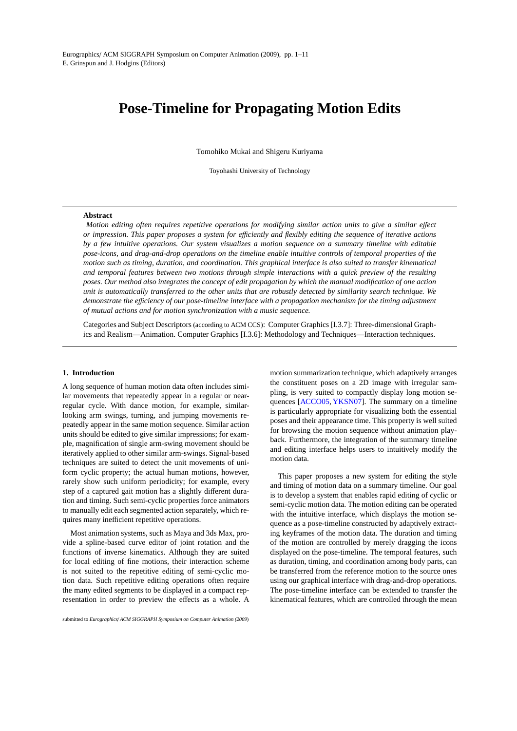# **Pose-Timeline for Propagating Motion Edits**

Tomohiko Mukai and Shigeru Kuriyama

Toyohashi University of Technology

## **Abstract**

*Motion editing often requires repetitive operations for modifying similar action units to give a similar e*ff*ect or impression. This paper proposes a system for e*ffi*ciently and flexibly editing the sequence of iterative actions by a few intuitive operations. Our system visualizes a motion sequence on a summary timeline with editable pose-icons, and drag-and-drop operations on the timeline enable intuitive controls of temporal properties of the motion such as timing, duration, and coordination. This graphical interface is also suited to transfer kinematical and temporal features between two motions through simple interactions with a quick preview of the resulting poses. Our method also integrates the concept of edit propagation by which the manual modification of one action unit is automatically transferred to the other units that are robustly detected by similarity search technique. We demonstrate the e*ffi*ciency of our pose-timeline interface with a propagation mechanism for the timing adjustment of mutual actions and for motion synchronization with a music sequence.*

Categories and Subject Descriptors (according to ACM CCS): Computer Graphics [I.3.7]: Three-dimensional Graphics and Realism—Animation. Computer Graphics [I.3.6]: Methodology and Techniques—Interaction techniques.

#### **1. Introduction**

A long sequence of human motion data often includes similar movements that repeatedly appear in a regular or nearregular cycle. With dance motion, for example, similarlooking arm swings, turning, and jumping movements repeatedly appear in the same motion sequence. Similar action units should be edited to give similar impressions; for example, magnification of single arm-swing movement should be iteratively applied to other similar arm-swings. Signal-based techniques are suited to detect the unit movements of uniform cyclic property; the actual human motions, however, rarely show such uniform periodicity; for example, every step of a captured gait motion has a slightly different duration and timing. Such semi-cyclic properties force animators to manually edit each segmented action separately, which requires many inefficient repetitive operations.

Most animation systems, such as Maya and 3ds Max, provide a spline-based curve editor of joint rotation and the functions of inverse kinematics. Although they are suited for local editing of fine motions, their interaction scheme is not suited to the repetitive editing of semi-cyclic motion data. Such repetitive editing operations often require the many edited segments to be displayed in a compact representation in order to preview the effects as a whole. A

motion summarization technique, which adaptively arranges the constituent poses on a 2D image with irregular sampling, is very suited to compactly display long motion sequences [ACCO05, YKSN07]. The summary on a timeline is particularly appropriate for visualizing both the essential poses and their appearance time. This property is well suited for browsing the motion sequence without animation playback. Furthermore, the integration of the summary timeline and editing interface helps users to intuitively modify the motion data.

This paper proposes a new system for editing the style and timing of motion data on a summary timeline. Our goal is to develop a system that enables rapid editing of cyclic or semi-cyclic motion data. The motion editing can be operated with the intuitive interface, which displays the motion sequence as a pose-timeline constructed by adaptively extracting keyframes of the motion data. The duration and timing of the motion are controlled by merely dragging the icons displayed on the pose-timeline. The temporal features, such as duration, timing, and coordination among body parts, can be transferred from the reference motion to the source ones using our graphical interface with drag-and-drop operations. The pose-timeline interface can be extended to transfer the kinematical features, which are controlled through the mean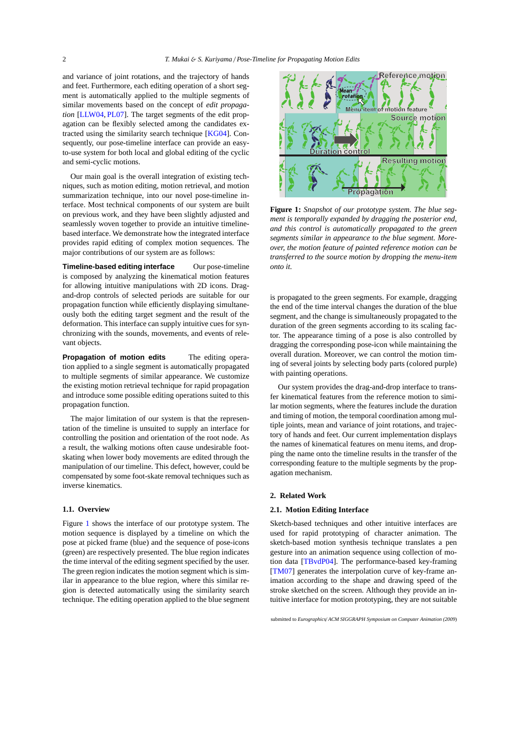and variance of joint rotations, and the trajectory of hands and feet. Furthermore, each editing operation of a short segment is automatically applied to the multiple segments of similar movements based on the concept of *edit propagation* [LLW04, PL07]. The target segments of the edit propagation can be flexibly selected among the candidates extracted using the similarity search technique [KG04]. Consequently, our pose-timeline interface can provide an easyto-use system for both local and global editing of the cyclic and semi-cyclic motions.

Our main goal is the overall integration of existing techniques, such as motion editing, motion retrieval, and motion summarization technique, into our novel pose-timeline interface. Most technical components of our system are built on previous work, and they have been slightly adjusted and seamlessly woven together to provide an intuitive timelinebased interface. We demonstrate how the integrated interface provides rapid editing of complex motion sequences. The major contributions of our system are as follows:

**Timeline-based editing interface** Our pose-timeline is composed by analyzing the kinematical motion features for allowing intuitive manipulations with 2D icons. Dragand-drop controls of selected periods are suitable for our propagation function while efficiently displaying simultaneously both the editing target segment and the result of the deformation. This interface can supply intuitive cues for synchronizing with the sounds, movements, and events of relevant objects.

**Propagation of motion edits** The editing operation applied to a single segment is automatically propagated to multiple segments of similar appearance. We customize the existing motion retrieval technique for rapid propagation and introduce some possible editing operations suited to this propagation function.

The major limitation of our system is that the representation of the timeline is unsuited to supply an interface for controlling the position and orientation of the root node. As a result, the walking motions often cause undesirable footskating when lower body movements are edited through the manipulation of our timeline. This defect, however, could be compensated by some foot-skate removal techniques such as inverse kinematics.

# **1.1. Overview**

Figure 1 shows the interface of our prototype system. The motion sequence is displayed by a timeline on which the pose at picked frame (blue) and the sequence of pose-icons (green) are respectively presented. The blue region indicates the time interval of the editing segment specified by the user. The green region indicates the motion segment which is similar in appearance to the blue region, where this similar region is detected automatically using the similarity search technique. The editing operation applied to the blue segment



**Figure 1:** *Snapshot of our prototype system. The blue segment is temporally expanded by dragging the posterior end, and this control is automatically propagated to the green segments similar in appearance to the blue segment. Moreover, the motion feature of painted reference motion can be transferred to the source motion by dropping the menu-item onto it.*

is propagated to the green segments. For example, dragging the end of the time interval changes the duration of the blue segment, and the change is simultaneously propagated to the duration of the green segments according to its scaling factor. The appearance timing of a pose is also controlled by dragging the corresponding pose-icon while maintaining the overall duration. Moreover, we can control the motion timing of several joints by selecting body parts (colored purple) with painting operations.

Our system provides the drag-and-drop interface to transfer kinematical features from the reference motion to similar motion segments, where the features include the duration and timing of motion, the temporal coordination among multiple joints, mean and variance of joint rotations, and trajectory of hands and feet. Our current implementation displays the names of kinematical features on menu items, and dropping the name onto the timeline results in the transfer of the corresponding feature to the multiple segments by the propagation mechanism.

#### **2. Related Work**

## **2.1. Motion Editing Interface**

Sketch-based techniques and other intuitive interfaces are used for rapid prototyping of character animation. The sketch-based motion synthesis technique translates a pen gesture into an animation sequence using collection of motion data [TBvdP04]. The performance-based key-framing [TM07] generates the interpolation curve of key-frame animation according to the shape and drawing speed of the stroke sketched on the screen. Although they provide an intuitive interface for motion prototyping, they are not suitable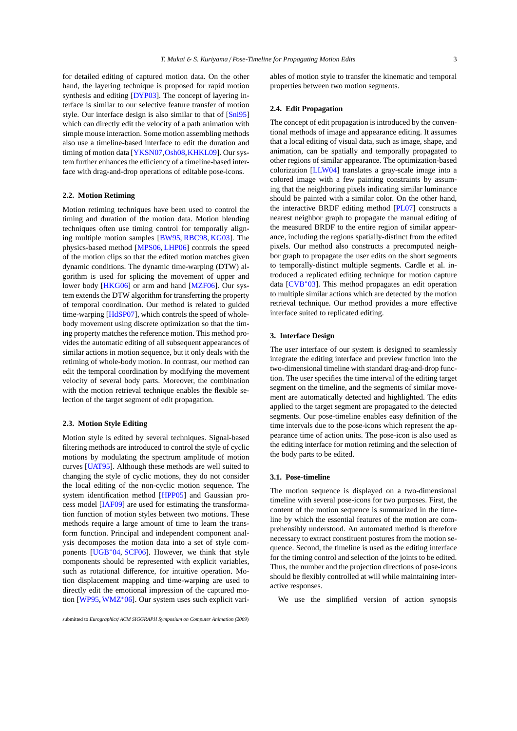for detailed editing of captured motion data. On the other hand, the layering technique is proposed for rapid motion synthesis and editing [DYP03]. The concept of layering interface is similar to our selective feature transfer of motion style. Our interface design is also similar to that of [Sni95] which can directly edit the velocity of a path animation with simple mouse interaction. Some motion assembling methods also use a timeline-based interface to edit the duration and timing of motion data [YKSN07, Osh08, KHKL09]. Our system further enhances the efficiency of a timeline-based interface with drag-and-drop operations of editable pose-icons.

# **2.2. Motion Retiming**

Motion retiming techniques have been used to control the timing and duration of the motion data. Motion blending techniques often use timing control for temporally aligning multiple motion samples [BW95, RBC98, KG03]. The physics-based method [MPS06, LHP06] controls the speed of the motion clips so that the edited motion matches given dynamic conditions. The dynamic time-warping (DTW) algorithm is used for splicing the movement of upper and lower body [HKG06] or arm and hand [MZF06]. Our system extends the DTW algorithm for transferring the property of temporal coordination. Our method is related to guided time-warping [HdSP07], which controls the speed of wholebody movement using discrete optimization so that the timing property matches the reference motion. This method provides the automatic editing of all subsequent appearances of similar actions in motion sequence, but it only deals with the retiming of whole-body motion. In contrast, our method can edit the temporal coordination by modifying the movement velocity of several body parts. Moreover, the combination with the motion retrieval technique enables the flexible selection of the target segment of edit propagation.

# **2.3. Motion Style Editing**

Motion style is edited by several techniques. Signal-based filtering methods are introduced to control the style of cyclic motions by modulating the spectrum amplitude of motion curves [UAT95]. Although these methods are well suited to changing the style of cyclic motions, they do not consider the local editing of the non-cyclic motion sequence. The system identification method [HPP05] and Gaussian process model [IAF09] are used for estimating the transformation function of motion styles between two motions. These methods require a large amount of time to learn the transform function. Principal and independent component analysis decomposes the motion data into a set of style components [UGB∗04, SCF06]. However, we think that style components should be represented with explicit variables, such as rotational difference, for intuitive operation. Motion displacement mapping and time-warping are used to directly edit the emotional impression of the captured motion [WP95,WMZ∗06]. Our system uses such explicit vari-

ables of motion style to transfer the kinematic and temporal properties between two motion segments.

#### **2.4. Edit Propagation**

The concept of edit propagation is introduced by the conventional methods of image and appearance editing. It assumes that a local editing of visual data, such as image, shape, and animation, can be spatially and temporally propagated to other regions of similar appearance. The optimization-based colorization [LLW04] translates a gray-scale image into a colored image with a few painting constraints by assuming that the neighboring pixels indicating similar luminance should be painted with a similar color. On the other hand, the interactive BRDF editing method [PL07] constructs a nearest neighbor graph to propagate the manual editing of the measured BRDF to the entire region of similar appearance, including the regions spatially-distinct from the edited pixels. Our method also constructs a precomputed neighbor graph to propagate the user edits on the short segments to temporally-distinct multiple segments. Cardle et al. introduced a replicated editing technique for motion capture data [CVB∗03]. This method propagates an edit operation to multiple similar actions which are detected by the motion retrieval technique. Our method provides a more effective interface suited to replicated editing.

# **3. Interface Design**

The user interface of our system is designed to seamlessly integrate the editing interface and preview function into the two-dimensional timeline with standard drag-and-drop function. The user specifies the time interval of the editing target segment on the timeline, and the segments of similar movement are automatically detected and highlighted. The edits applied to the target segment are propagated to the detected segments. Our pose-timeline enables easy definition of the time intervals due to the pose-icons which represent the appearance time of action units. The pose-icon is also used as the editing interface for motion retiming and the selection of the body parts to be edited.

#### **3.1. Pose-timeline**

The motion sequence is displayed on a two-dimensional timeline with several pose-icons for two purposes. First, the content of the motion sequence is summarized in the timeline by which the essential features of the motion are comprehensibly understood. An automated method is therefore necessary to extract constituent postures from the motion sequence. Second, the timeline is used as the editing interface for the timing control and selection of the joints to be edited. Thus, the number and the projection directions of pose-icons should be flexibly controlled at will while maintaining interactive responses.

We use the simplified version of action synopsis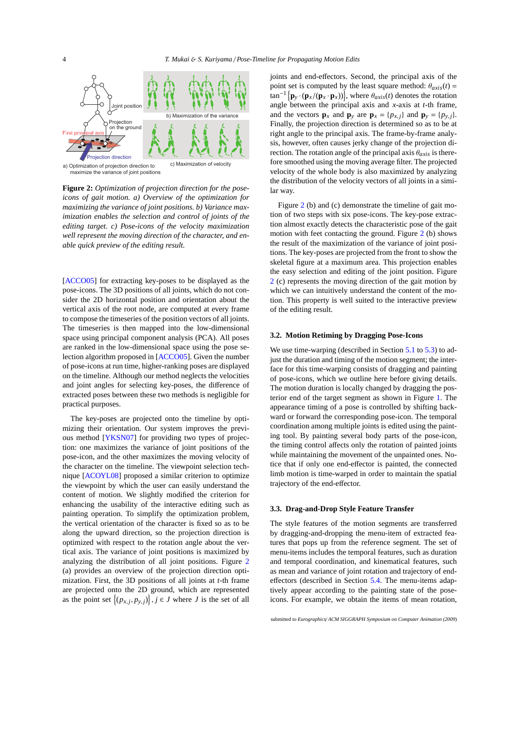

**Figure 2:** *Optimization of projection direction for the poseicons of gait motion. a) Overview of the optimization for maximizing the variance of joint positions. b) Variance maximization enables the selection and control of joints of the editing target. c) Pose-icons of the velocity maximization well represent the moving direction of the character, and enable quick preview of the editing result.*

[ACCO05] for extracting key-poses to be displayed as the pose-icons. The 3D positions of all joints, which do not consider the 2D horizontal position and orientation about the vertical axis of the root node, are computed at every frame to compose the timeseries of the position vectors of all joints. The timeseries is then mapped into the low-dimensional space using principal component analysis (PCA). All poses are ranked in the low-dimensional space using the pose selection algorithm proposed in [ACCO05]. Given the number of pose-icons at run time, higher-ranking poses are displayed on the timeline. Although our method neglects the velocities and joint angles for selecting key-poses, the difference of extracted poses between these two methods is negligible for practical purposes.

The key-poses are projected onto the timeline by optimizing their orientation. Our system improves the previous method [YKSN07] for providing two types of projection: one maximizes the variance of joint positions of the pose-icon, and the other maximizes the moving velocity of the character on the timeline. The viewpoint selection technique [ACOYL08] proposed a similar criterion to optimize the viewpoint by which the user can easily understand the content of motion. We slightly modified the criterion for enhancing the usability of the interactive editing such as painting operation. To simplify the optimization problem, the vertical orientation of the character is fixed so as to be along the upward direction, so the projection direction is optimized with respect to the rotation angle about the vertical axis. The variance of joint positions is maximized by analyzing the distribution of all joint positions. Figure 2 (a) provides an overview of the projection direction optimization. First, the 3D positions of all joints at *t*-th frame are projected onto the 2D ground, which are represented as the point set  $\{(p_{x,j}, p_{y,j})\}\$ ,  $j \in J$  where *J* is the set of all

joints and end-effectors. Second, the principal axis of the point set is computed by the least square method:  $\theta_{axis}(t)$  =  $\tan^{-1}{\{\mathbf{p}_y \cdot (\mathbf{p}_x/(\mathbf{p}_x \cdot \mathbf{p}_x))\}}$ , where  $\theta_{axis}(t)$  denotes the rotation angle between the principal axis and *x*-axis at *t*-th frame, and the vectors  $\mathbf{p}_x$  and  $\mathbf{p}_y$  are  $\mathbf{p}_x = \{p_{x,i}\}\$  and  $\mathbf{p}_y = \{p_{y,i}\}\$ . Finally, the projection direction is determined so as to be at right angle to the principal axis. The frame-by-frame analysis, however, often causes jerky change of the projection direction. The rotation angle of the principal axis  $\theta_{axis}$  is therefore smoothed using the moving average filter. The projected velocity of the whole body is also maximized by analyzing the distribution of the velocity vectors of all joints in a similar way.

Figure 2 (b) and (c) demonstrate the timeline of gait motion of two steps with six pose-icons. The key-pose extraction almost exactly detects the characteristic pose of the gait motion with feet contacting the ground. Figure 2 (b) shows the result of the maximization of the variance of joint positions. The key-poses are projected from the front to show the skeletal figure at a maximum area. This projection enables the easy selection and editing of the joint position. Figure 2 (c) represents the moving direction of the gait motion by which we can intuitively understand the content of the motion. This property is well suited to the interactive preview of the editing result.

#### **3.2. Motion Retiming by Dragging Pose-Icons**

We use time-warping (described in Section 5.1 to 5.3) to adjust the duration and timing of the motion segment; the interface for this time-warping consists of dragging and painting of pose-icons, which we outline here before giving details. The motion duration is locally changed by dragging the posterior end of the target segment as shown in Figure 1. The appearance timing of a pose is controlled by shifting backward or forward the corresponding pose-icon. The temporal coordination among multiple joints is edited using the painting tool. By painting several body parts of the pose-icon, the timing control affects only the rotation of painted joints while maintaining the movement of the unpainted ones. Notice that if only one end-effector is painted, the connected limb motion is time-warped in order to maintain the spatial trajectory of the end-effector.

# **3.3. Drag-and-Drop Style Feature Transfer**

The style features of the motion segments are transferred by dragging-and-dropping the menu-item of extracted features that pops up from the reference segment. The set of menu-items includes the temporal features, such as duration and temporal coordination, and kinematical features, such as mean and variance of joint rotation and trajectory of endeffectors (described in Section 5.4. The menu-items adaptively appear according to the painting state of the poseicons. For example, we obtain the items of mean rotation,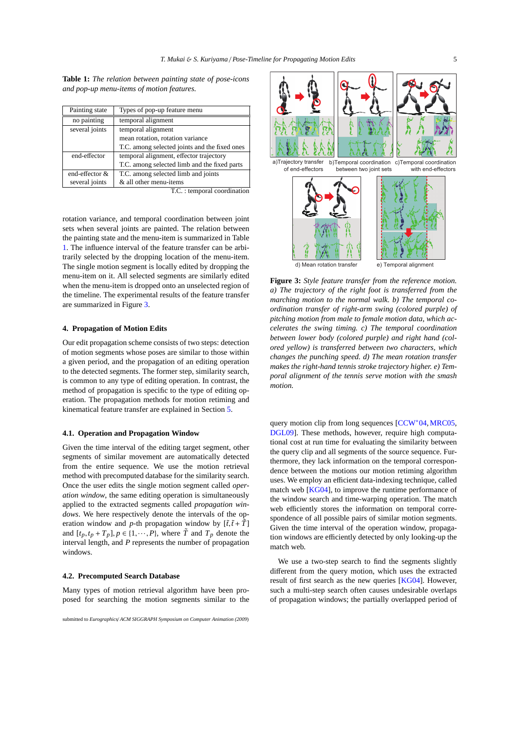**Table 1:** *The relation between painting state of pose-icons and pop-up menu-items of motion features.*

| Painting state |                   | Types of pop-up feature menu                  |  |  |  |
|----------------|-------------------|-----------------------------------------------|--|--|--|
|                | no painting       | temporal alignment                            |  |  |  |
|                | several joints    | temporal alignment                            |  |  |  |
|                |                   | mean rotation, rotation variance              |  |  |  |
|                |                   | T.C. among selected joints and the fixed ones |  |  |  |
|                | end-effector      | temporal alignment, effector trajectory       |  |  |  |
|                |                   | T.C. among selected limb and the fixed parts  |  |  |  |
|                | end-effector $\&$ | T.C. among selected limb and joints           |  |  |  |
|                | several joints    | & all other menu-items                        |  |  |  |
|                |                   |                                               |  |  |  |

T.C. : temporal coordination

rotation variance, and temporal coordination between joint sets when several joints are painted. The relation between the painting state and the menu-item is summarized in Table 1. The influence interval of the feature transfer can be arbitrarily selected by the dropping location of the menu-item. The single motion segment is locally edited by dropping the menu-item on it. All selected segments are similarly edited when the menu-item is dropped onto an unselected region of the timeline. The experimental results of the feature transfer are summarized in Figure 3.

# **4. Propagation of Motion Edits**

Our edit propagation scheme consists of two steps: detection of motion segments whose poses are similar to those within a given period, and the propagation of an editing operation to the detected segments. The former step, similarity search, is common to any type of editing operation. In contrast, the method of propagation is specific to the type of editing operation. The propagation methods for motion retiming and kinematical feature transfer are explained in Section 5.

#### **4.1. Operation and Propagation Window**

Given the time interval of the editing target segment, other segments of similar movement are automatically detected from the entire sequence. We use the motion retrieval method with precomputed database for the similarity search. Once the user edits the single motion segment called *operation window*, the same editing operation is simultaneously applied to the extracted segments called *propagation windows*. We here respectively denote the intervals of the operation window and *p*-th propagation window by  $[\tilde{t}, \tilde{t} + \tilde{T}]$ and  $[t_p, t_p + T_p]$ ,  $p \in \{1, \dots, P\}$ , where  $\tilde{T}$  and  $T_p$  denote the interval length, and *P* represents the number of propagation windows.

#### **4.2. Precomputed Search Database**

Many types of motion retrieval algorithm have been proposed for searching the motion segments similar to the



**Figure 3:** *Style feature transfer from the reference motion. a) The trajectory of the right foot is transferred from the marching motion to the normal walk. b) The temporal coordination transfer of right-arm swing (colored purple) of pitching motion from male to female motion data, which accelerates the swing timing. c) The temporal coordination between lower body (colored purple) and right hand (colored yellow) is transferred between two characters, which changes the punching speed. d) The mean rotation transfer makes the right-hand tennis stroke trajectory higher. e) Temporal alignment of the tennis serve motion with the smash motion.*

query motion clip from long sequences [CCW∗04, MRC05, DGL09]. These methods, however, require high computational cost at run time for evaluating the similarity between the query clip and all segments of the source sequence. Furthermore, they lack information on the temporal correspondence between the motions our motion retiming algorithm uses. We employ an efficient data-indexing technique, called match web [KG04], to improve the runtime performance of the window search and time-warping operation. The match web efficiently stores the information on temporal correspondence of all possible pairs of similar motion segments. Given the time interval of the operation window, propagation windows are efficiently detected by only looking-up the match web.

We use a two-step search to find the segments slightly different from the query motion, which uses the extracted result of first search as the new queries [KG04]. However, such a multi-step search often causes undesirable overlaps of propagation windows; the partially overlapped period of

submitted to *Eurographics*/ *ACM SIGGRAPH Symposium on Computer Animation (2009*)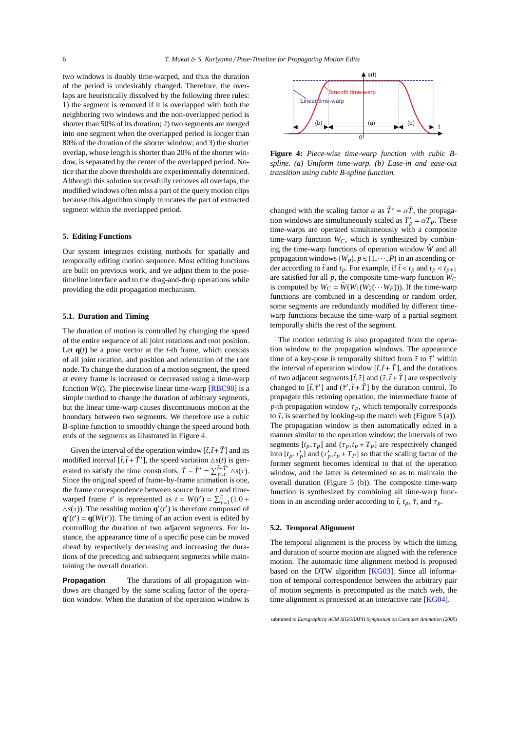two windows is doubly time-warped, and thus the duration of the period is undesirably changed. Therefore, the overlaps are heuristically dissolved by the following three rules: 1) the segment is removed if it is overlapped with both the neighboring two windows and the non-overlapped period is shorter than 50% of its duration; 2) two segments are merged into one segment when the overlapped period is longer than 80% of the duration of the shorter window; and 3) the shorter overlap, whose length is shorter than 20% of the shorter window, is separated by the center of the overlapped period. Notice that the above thresholds are experimentally determined. Although this solution successfully removes all overlaps, the modified windows often miss a part of the query motion clips because this algorithm simply truncates the part of extracted segment within the overlapped period.

## **5. Editing Functions**

Our system integrates existing methods for spatially and temporally editing motion sequence. Most editing functions are built on previous work, and we adjust them to the posetimeline interface and to the drag-and-drop operations while providing the edit propagation mechanism.

#### **5.1. Duration and Timing**

The duration of motion is controlled by changing the speed of the entire sequence of all joint rotations and root position. Let  $q(t)$  be a pose vector at the *t*-th frame, which consists of all joint rotation, and position and orientation of the root node. To change the duration of a motion segment, the speed at every frame is increased or decreased using a time-warp function  $W(t)$ . The piecewise linear time-warp  $[RBC98]$  is a simple method to change the duration of arbitrary segments, but the linear time-warp causes discontinuous motion at the boundary between two segments. We therefore use a cubic B-spline function to smoothly change the speed around both ends of the segments as illustrated in Figure 4.

Given the interval of the operation window  $[\tilde{t}, \tilde{t} + \tilde{T}]$  and its modified interval  $[\tilde{t}, \tilde{t} + \tilde{T}$ <sup>'</sup>], the speed variation  $\triangle s(t)$  is generated to satisfy the time constraints,  $\tilde{T} - \tilde{T}' = \sum_{\tau=\tilde{t}}^{\tilde{t}+\tilde{T}'} \Delta s(\tau)$ . Since the original speed of frame-by-frame animation is one, the frame correspondence between source frame *t* and timewarped frame  $t'$  is represented as  $t = W(t') = \sum_{\tau=1}^{t'} (1.0 +$  $\Delta s(\tau)$ ). The resulting motion  $\mathbf{q}'(t')$  is therefore composed of  $\mathbf{q}'(t') = \mathbf{q}(W(t'))$ . The timing of an action event is edited by controlling the duration of two adjacent segments. For instance, the appearance time of a specific pose can be moved ahead by respectively decreasing and increasing the durations of the preceding and subsequent segments while maintaining the overall duration.

**Propagation** The durations of all propagation windows are changed by the same scaling factor of the operation window. When the duration of the operation window is



**Figure 4:** *Piece-wise time-warp function with cubic Bspline. (a) Uniform time-warp. (b) Ease-in and ease-out transition using cubic B-spline function.*

changed with the scaling factor  $\alpha$  as  $\tilde{T}' = \alpha \tilde{T}$ , the propagation windows are simultaneously scaled as  $T'_p = \alpha T_p$ . These time-warps are operated simultaneously with a composite time-warp function  $W_C$ , which is synthesized by combining the time-warp functions of operation window  $\tilde{W}$  and all propagation windows  $\{W_p\}$ ,  $p \in \{1, \dots, P\}$  in an ascending order according to  $\tilde{t}$  and  $t_p$ . For example, if  $\tilde{t} < t_p$  and  $t_p < t_{p+1}$ are satisfied for all  $p$ , the composite time-warp function  $W_C$ is computed by  $W_C = \tilde{W}(W_1(W_2(\cdots W_P)))$ . If the time-warp functions are combined in a descending or random order, some segments are redundantly modified by different timewarp functions because the time-warp of a partial segment temporally shifts the rest of the segment.

The motion retiming is also propagated from the operation window to the propagation windows. The appearance time of a key-pose is temporally shifted from  $\tilde{\tau}$  to  $\tilde{\tau}'$  within the interval of operation window  $[\tilde{t}, \tilde{t} + \tilde{T}]$ , and the durations of two adjacent segments  $[\tilde{t}, \tilde{\tau}]$  and  $(\tilde{\tau}, \tilde{t} + \tilde{T})$  are respectively changed to  $[\tilde{t}, \tilde{\tau}']$  and  $(\tilde{\tau}', \tilde{t} + \tilde{T}]$  by the duration control. To propagate this retiming operation, the intermediate frame of *p*-th propagation window  $\tau_p$ , which temporally corresponds to  $\tilde{\tau}$ , is searched by looking-up the match web (Figure 5 (a)). The propagation window is then automatically edited in a manner similar to the operation window; the intervals of two segments  $[t_p, \tau_p]$  and  $(\tau_p, t_p + T_p]$  are respectively changed into  $[t_p, \tau_p']$  and  $(\tau_p', t_p + T_p']$  so that the scaling factor of the former segment becomes identical to that of the operation window, and the latter is determined so as to maintain the overall duration (Figure  $5$  (b)). The composite time-warp function is synthesized by combining all time-warp functions in an ascending order according to  $\tilde{t}$ ,  $t_p$ ,  $\tilde{\tau}$ , and  $\tau_p$ .

#### **5.2. Temporal Alignment**

The temporal alignment is the process by which the timing and duration of source motion are aligned with the reference motion. The automatic time alignment method is proposed based on the DTW algorithm [KG03]. Since all information of temporal correspondence between the arbitrary pair of motion segments is precomputed as the match web, the time alignment is processed at an interactive rate [KG04].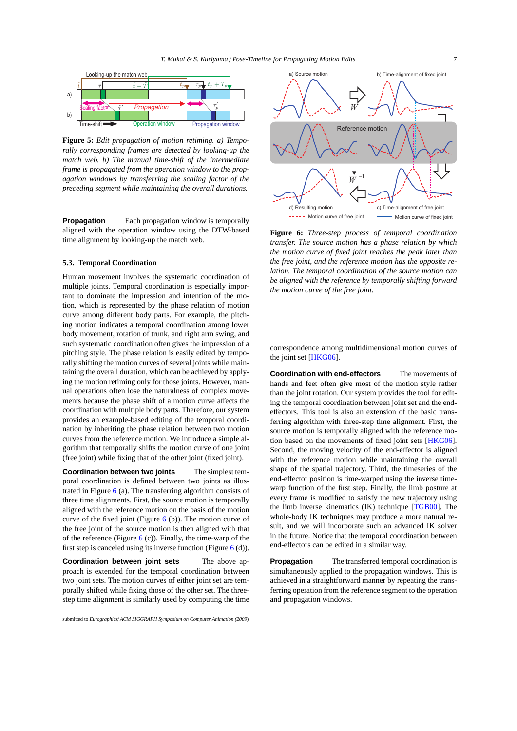

**Figure 5:** *Edit propagation of motion retiming. a) Temporally corresponding frames are detected by looking-up the match web. b) The manual time-shift of the intermediate frame is propagated from the operation window to the propagation windows by transferring the scaling factor of the preceding segment while maintaining the overall durations.*

**Propagation** Each propagation window is temporally aligned with the operation window using the DTW-based time alignment by looking-up the match web.

# **5.3. Temporal Coordination**

Human movement involves the systematic coordination of multiple joints. Temporal coordination is especially important to dominate the impression and intention of the motion, which is represented by the phase relation of motion curve among different body parts. For example, the pitching motion indicates a temporal coordination among lower body movement, rotation of trunk, and right arm swing, and such systematic coordination often gives the impression of a pitching style. The phase relation is easily edited by temporally shifting the motion curves of several joints while maintaining the overall duration, which can be achieved by applying the motion retiming only for those joints. However, manual operations often lose the naturalness of complex movements because the phase shift of a motion curve affects the coordination with multiple body parts. Therefore, our system provides an example-based editing of the temporal coordination by inheriting the phase relation between two motion curves from the reference motion. We introduce a simple algorithm that temporally shifts the motion curve of one joint (free joint) while fixing that of the other joint (fixed joint).

**Coordination between two joints** The simplest temporal coordination is defined between two joints as illustrated in Figure 6 (a). The transferring algorithm consists of three time alignments. First, the source motion is temporally aligned with the reference motion on the basis of the motion curve of the fixed joint (Figure  $6$  (b)). The motion curve of the free joint of the source motion is then aligned with that of the reference (Figure  $6$  (c)). Finally, the time-warp of the first step is canceled using its inverse function (Figure  $6$  (d)).

**Coordination between joint sets** The above approach is extended for the temporal coordination between two joint sets. The motion curves of either joint set are temporally shifted while fixing those of the other set. The threestep time alignment is similarly used by computing the time



**Figure 6:** *Three-step process of temporal coordination transfer. The source motion has a phase relation by which the motion curve of fixed joint reaches the peak later than the free joint, and the reference motion has the opposite relation. The temporal coordination of the source motion can be aligned with the reference by temporally shifting forward the motion curve of the free joint.*

correspondence among multidimensional motion curves of the joint set [HKG06].

**Coordination with end-effectors** The movements of hands and feet often give most of the motion style rather than the joint rotation. Our system provides the tool for editing the temporal coordination between joint set and the endeffectors. This tool is also an extension of the basic transferring algorithm with three-step time alignment. First, the source motion is temporally aligned with the reference motion based on the movements of fixed joint sets [HKG06]. Second, the moving velocity of the end-effector is aligned with the reference motion while maintaining the overall shape of the spatial trajectory. Third, the timeseries of the end-effector position is time-warped using the inverse timewarp function of the first step. Finally, the limb posture at every frame is modified to satisfy the new trajectory using the limb inverse kinematics (IK) technique [TGB00]. The whole-body IK techniques may produce a more natural result, and we will incorporate such an advanced IK solver in the future. Notice that the temporal coordination between end-effectors can be edited in a similar way.

**Propagation** The transferred temporal coordination is simultaneously applied to the propagation windows. This is achieved in a straightforward manner by repeating the transferring operation from the reference segment to the operation and propagation windows.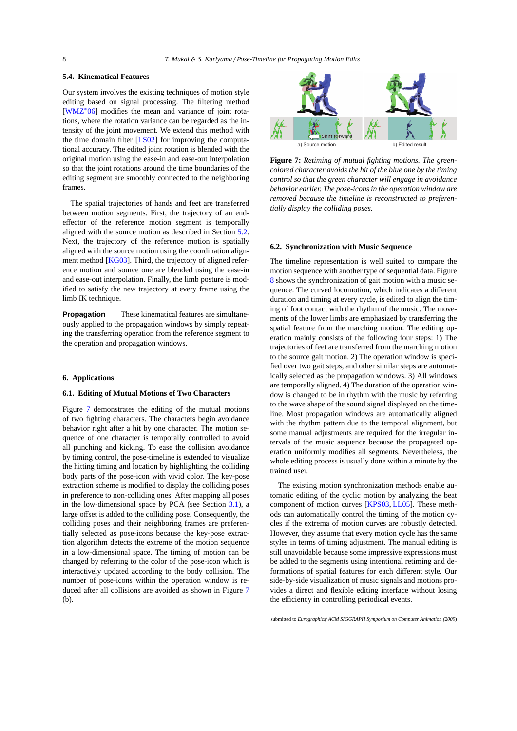# **5.4. Kinematical Features**

Our system involves the existing techniques of motion style editing based on signal processing. The filtering method [WMZ∗06] modifies the mean and variance of joint rotations, where the rotation variance can be regarded as the intensity of the joint movement. We extend this method with the time domain filter [LS02] for improving the computational accuracy. The edited joint rotation is blended with the original motion using the ease-in and ease-out interpolation so that the joint rotations around the time boundaries of the editing segment are smoothly connected to the neighboring frames.

The spatial trajectories of hands and feet are transferred between motion segments. First, the trajectory of an endeffector of the reference motion segment is temporally aligned with the source motion as described in Section 5.2. Next, the trajectory of the reference motion is spatially aligned with the source motion using the coordination alignment method [KG03]. Third, the trajectory of aligned reference motion and source one are blended using the ease-in and ease-out interpolation. Finally, the limb posture is modified to satisfy the new trajectory at every frame using the limb IK technique.

**Propagation** These kinematical features are simultaneously applied to the propagation windows by simply repeating the transferring operation from the reference segment to the operation and propagation windows.

## **6. Applications**

## **6.1. Editing of Mutual Motions of Two Characters**

Figure 7 demonstrates the editing of the mutual motions of two fighting characters. The characters begin avoidance behavior right after a hit by one character. The motion sequence of one character is temporally controlled to avoid all punching and kicking. To ease the collision avoidance by timing control, the pose-timeline is extended to visualize the hitting timing and location by highlighting the colliding body parts of the pose-icon with vivid color. The key-pose extraction scheme is modified to display the colliding poses in preference to non-colliding ones. After mapping all poses in the low-dimensional space by PCA (see Section 3.1), a large offset is added to the colliding pose. Consequently, the colliding poses and their neighboring frames are preferentially selected as pose-icons because the key-pose extraction algorithm detects the extreme of the motion sequence in a low-dimensional space. The timing of motion can be changed by referring to the color of the pose-icon which is interactively updated according to the body collision. The number of pose-icons within the operation window is reduced after all collisions are avoided as shown in Figure 7 (b).



**Figure 7:** *Retiming of mutual fighting motions. The greencolored character avoids the hit of the blue one by the timing control so that the green character will engage in avoidance behavior earlier. The pose-icons in the operation window are removed because the timeline is reconstructed to preferentially display the colliding poses.*

## **6.2. Synchronization with Music Sequence**

The timeline representation is well suited to compare the motion sequence with another type of sequential data. Figure 8 shows the synchronization of gait motion with a music sequence. The curved locomotion, which indicates a different duration and timing at every cycle, is edited to align the timing of foot contact with the rhythm of the music. The movements of the lower limbs are emphasized by transferring the spatial feature from the marching motion. The editing operation mainly consists of the following four steps: 1) The trajectories of feet are transferred from the marching motion to the source gait motion. 2) The operation window is specified over two gait steps, and other similar steps are automatically selected as the propagation windows. 3) All windows are temporally aligned. 4) The duration of the operation window is changed to be in rhythm with the music by referring to the wave shape of the sound signal displayed on the timeline. Most propagation windows are automatically aligned with the rhythm pattern due to the temporal alignment, but some manual adjustments are required for the irregular intervals of the music sequence because the propagated operation uniformly modifies all segments. Nevertheless, the whole editing process is usually done within a minute by the trained user.

The existing motion synchronization methods enable automatic editing of the cyclic motion by analyzing the beat component of motion curves [KPS03, LL05]. These methods can automatically control the timing of the motion cycles if the extrema of motion curves are robustly detected. However, they assume that every motion cycle has the same styles in terms of timing adjustment. The manual editing is still unavoidable because some impressive expressions must be added to the segments using intentional retiming and deformations of spatial features for each different style. Our side-by-side visualization of music signals and motions provides a direct and flexible editing interface without losing the efficiency in controlling periodical events.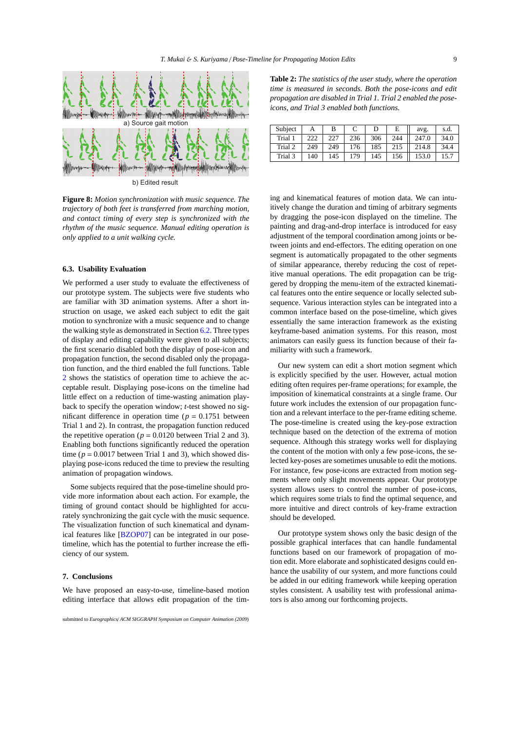

b) Edited result

**Figure 8:** *Motion synchronization with music sequence. The trajectory of both feet is transferred from marching motion, and contact timing of every step is synchronized with the rhythm of the music sequence. Manual editing operation is only applied to a unit walking cycle.*

#### **6.3. Usability Evaluation**

We performed a user study to evaluate the effectiveness of our prototype system. The subjects were five students who are familiar with 3D animation systems. After a short instruction on usage, we asked each subject to edit the gait motion to synchronize with a music sequence and to change the walking style as demonstrated in Section 6.2. Three types of display and editing capability were given to all subjects; the first scenario disabled both the display of pose-icon and propagation function, the second disabled only the propagation function, and the third enabled the full functions. Table 2 shows the statistics of operation time to achieve the acceptable result. Displaying pose-icons on the timeline had little effect on a reduction of time-wasting animation playback to specify the operation window; *t*-test showed no significant difference in operation time ( $p = 0.1751$  between Trial 1 and 2). In contrast, the propagation function reduced the repetitive operation ( $p = 0.0120$  between Trial 2 and 3). Enabling both functions significantly reduced the operation time ( $p = 0.0017$  between Trial 1 and 3), which showed displaying pose-icons reduced the time to preview the resulting animation of propagation windows.

Some subjects required that the pose-timeline should provide more information about each action. For example, the timing of ground contact should be highlighted for accurately synchronizing the gait cycle with the music sequence. The visualization function of such kinematical and dynamical features like [BZOP07] can be integrated in our posetimeline, which has the potential to further increase the efficiency of our system.

### **7. Conclusions**

We have proposed an easy-to-use, timeline-based motion editing interface that allows edit propagation of the tim-

**Table 2:** *The statistics of the user study, where the operation time is measured in seconds. Both the pose-icons and edit propagation are disabled in Trial 1. Trial 2 enabled the poseicons, and Trial 3 enabled both functions.*

| Subject |     | B   |     | D   | E   | avg.  | s.d. |
|---------|-----|-----|-----|-----|-----|-------|------|
| Trial:  |     | 227 | 236 | 306 | 244 | 247.0 | 34.0 |
| Trial 2 | 249 | 249 | 176 | 185 | 215 | 214.8 | 34.4 |
| Trial 3 | 140 | 145 | 179 | 145 | 156 | 153.0 | 15.7 |

ing and kinematical features of motion data. We can intuitively change the duration and timing of arbitrary segments by dragging the pose-icon displayed on the timeline. The painting and drag-and-drop interface is introduced for easy adjustment of the temporal coordination among joints or between joints and end-effectors. The editing operation on one segment is automatically propagated to the other segments of similar appearance, thereby reducing the cost of repetitive manual operations. The edit propagation can be triggered by dropping the menu-item of the extracted kinematical features onto the entire sequence or locally selected subsequence. Various interaction styles can be integrated into a common interface based on the pose-timeline, which gives essentially the same interaction framework as the existing keyframe-based animation systems. For this reason, most animators can easily guess its function because of their familiarity with such a framework.

Our new system can edit a short motion segment which is explicitly specified by the user. However, actual motion editing often requires per-frame operations; for example, the imposition of kinematical constraints at a single frame. Our future work includes the extension of our propagation function and a relevant interface to the per-frame editing scheme. The pose-timeline is created using the key-pose extraction technique based on the detection of the extrema of motion sequence. Although this strategy works well for displaying the content of the motion with only a few pose-icons, the selected key-poses are sometimes unusable to edit the motions. For instance, few pose-icons are extracted from motion segments where only slight movements appear. Our prototype system allows users to control the number of pose-icons, which requires some trials to find the optimal sequence, and more intuitive and direct controls of key-frame extraction should be developed.

Our prototype system shows only the basic design of the possible graphical interfaces that can handle fundamental functions based on our framework of propagation of motion edit. More elaborate and sophisticated designs could enhance the usability of our system, and more functions could be added in our editing framework while keeping operation styles consistent. A usability test with professional animators is also among our forthcoming projects.